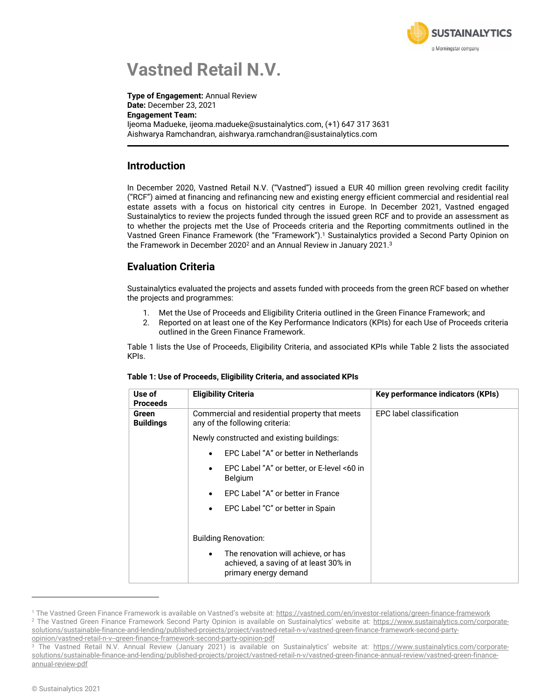

# **Vastned Retail N.V.**

**Type of Engagement:** Annual Review **Date:** December 23, 2021 **Engagement Team:** Ijeoma Madueke, ijeoma.madueke@sustainalytics.com, (+1) 647 317 3631 Aishwarya Ramchandran, aishwarya.ramchandran@sustainalytics.com

### **Introduction**

In December 2020, Vastned Retail N.V. ("Vastned") issued a EUR 40 million green revolving credit facility ("RCF") aimed at financing and refinancing new and existing energy efficient commercial and residential real estate assets with a focus on historical city centres in Europe. In December 2021, Vastned engaged Sustainalytics to review the projects funded through the issued green RCF and to provide an assessment as to whether the projects met the Use of Proceeds criteria and the Reporting commitments outlined in the Vastned Green Finance Framework (the "Framework"). <sup>1</sup> Sustainalytics provided a Second Party Opinion on the Framework in December 2020<sup>2</sup> and an Annual Review in January 2021.<sup>3</sup>

## **Evaluation Criteria**

Sustainalytics evaluated the projects and assets funded with proceeds from the green RCF based on whether the projects and programmes:

- 1. Met the Use of Proceeds and Eligibility Criteria outlined in the Green Finance Framework; and
- 2. Reported on at least one of the Key Performance Indicators (KPIs) for each Use of Proceeds criteria outlined in the Green Finance Framework.

Table 1 lists the Use of Proceeds, Eligibility Criteria, and associated KPIs while Table 2 lists the associated KPIs.

| Use of<br><b>Proceeds</b> | <b>Eligibility Criteria</b>                                                                                        | Key performance indicators (KPIs) |
|---------------------------|--------------------------------------------------------------------------------------------------------------------|-----------------------------------|
| Green<br><b>Buildings</b> | Commercial and residential property that meets<br>any of the following criteria:                                   | EPC label classification          |
|                           | Newly constructed and existing buildings:                                                                          |                                   |
|                           | EPC Label "A" or better in Netherlands<br>$\bullet$                                                                |                                   |
|                           | EPC Label "A" or better, or E-level <60 in<br>$\bullet$<br>Belgium                                                 |                                   |
|                           | EPC Label "A" or better in France<br>$\bullet$                                                                     |                                   |
|                           | EPC Label "C" or better in Spain<br>$\bullet$                                                                      |                                   |
|                           | <b>Building Renovation:</b>                                                                                        |                                   |
|                           | The renovation will achieve, or has<br>$\bullet$<br>achieved, a saving of at least 30% in<br>primary energy demand |                                   |

#### **Table 1: Use of Proceeds, Eligibility Criteria, and associated KPIs**

<sup>&</sup>lt;sup>1</sup> The Vastned Green Finance Framework is available on Vastned's website at: <https://vastned.com/en/investor-relations/green-finance-framework> <sup>2</sup> The Vastned Green Finance Framework Second Party Opinion is available on Sustainalytics' website at: [https://www.sustainalytics.com/corporate](https://www.sustainalytics.com/corporate-solutions/sustainable-finance-and-lending/published-projects/project/vastned-retail-n-v/vastned-green-finance-framework-second-party-opinion/vastned-retail-n-v--green-finance-framework-second-party-opinion-pdf)[solutions/sustainable-finance-and-lending/published-projects/project/vastned-retail-n-v/vastned-green-finance-framework-second-party](https://www.sustainalytics.com/corporate-solutions/sustainable-finance-and-lending/published-projects/project/vastned-retail-n-v/vastned-green-finance-framework-second-party-opinion/vastned-retail-n-v--green-finance-framework-second-party-opinion-pdf)[opinion/vastned-retail-n-v--green-finance-framework-second-party-opinion-pdf](https://www.sustainalytics.com/corporate-solutions/sustainable-finance-and-lending/published-projects/project/vastned-retail-n-v/vastned-green-finance-framework-second-party-opinion/vastned-retail-n-v--green-finance-framework-second-party-opinion-pdf)

The Vastned Retail N.V. Annual Review (January 2021) is available on Sustainalytics' website at: [https://www.sustainalytics.com/corporate](https://www.sustainalytics.com/corporate-solutions/sustainable-finance-and-lending/published-projects/project/vastned-retail-n-v/vastned-green-finance-annual-review/vastned-green-finance-annual-review-pdf)[solutions/sustainable-finance-and-lending/published-projects/project/vastned-retail-n-v/vastned-green-finance-annual-review/vastned-green-finance](https://www.sustainalytics.com/corporate-solutions/sustainable-finance-and-lending/published-projects/project/vastned-retail-n-v/vastned-green-finance-annual-review/vastned-green-finance-annual-review-pdf)[annual-review-pdf](https://www.sustainalytics.com/corporate-solutions/sustainable-finance-and-lending/published-projects/project/vastned-retail-n-v/vastned-green-finance-annual-review/vastned-green-finance-annual-review-pdf)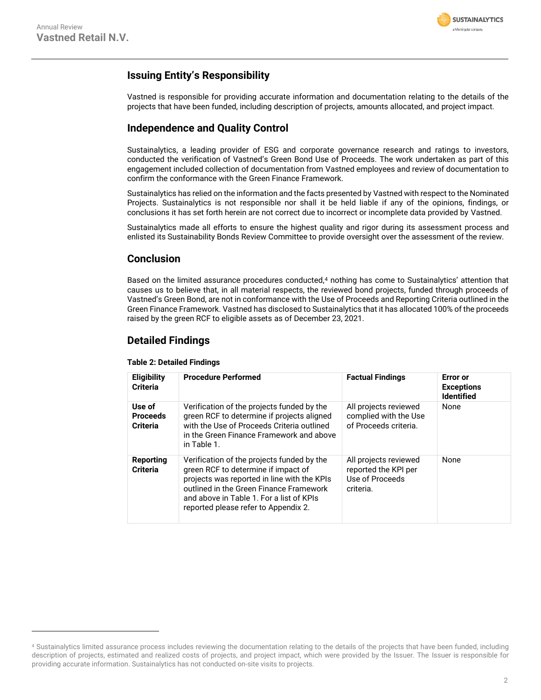

## **Issuing Entity's Responsibility**

Vastned is responsible for providing accurate information and documentation relating to the details of the projects that have been funded, including description of projects, amounts allocated, and project impact.

## **Independence and Quality Control**

Sustainalytics, a leading provider of ESG and corporate governance research and ratings to investors, conducted the verification of Vastned's Green Bond Use of Proceeds. The work undertaken as part of this engagement included collection of documentation from Vastned employees and review of documentation to confirm the conformance with the Green Finance Framework.

Sustainalytics has relied on the information and the facts presented by Vastned with respect to the Nominated Projects. Sustainalytics is not responsible nor shall it be held liable if any of the opinions, findings, or conclusions it has set forth herein are not correct due to incorrect or incomplete data provided by Vastned.

Sustainalytics made all efforts to ensure the highest quality and rigor during its assessment process and enlisted its Sustainability Bonds Review Committee to provide oversight over the assessment of the review.

### **Conclusion**

Based on the limited assurance procedures conducted,<sup>4</sup> nothing has come to Sustainalytics' attention that causes us to believe that, in all material respects, the reviewed bond projects, funded through proceeds of Vastned's Green Bond, are not in conformance with the Use of Proceeds and Reporting Criteria outlined in the Green Finance Framework. Vastned has disclosed to Sustainalytics that it has allocated 100% of the proceeds raised by the green RCF to eligible assets as of December 23, 2021.

## **Detailed Findings**

| <b>Eligibility</b><br><b>Criteria</b>        | <b>Procedure Performed</b>                                                                                                                                                                                                                                      | <b>Factual Findings</b>                                                       | <b>Error</b> or<br><b>Exceptions</b><br><b>Identified</b> |
|----------------------------------------------|-----------------------------------------------------------------------------------------------------------------------------------------------------------------------------------------------------------------------------------------------------------------|-------------------------------------------------------------------------------|-----------------------------------------------------------|
| Use of<br><b>Proceeds</b><br><b>Criteria</b> | Verification of the projects funded by the<br>green RCF to determine if projects aligned<br>with the Use of Proceeds Criteria outlined<br>in the Green Finance Framework and above<br>in Table 1.                                                               | All projects reviewed<br>complied with the Use<br>of Proceeds criteria.       | None                                                      |
| Reporting<br><b>Criteria</b>                 | Verification of the projects funded by the<br>green RCF to determine if impact of<br>projects was reported in line with the KPIs<br>outlined in the Green Finance Framework<br>and above in Table 1. For a list of KPIs<br>reported please refer to Appendix 2. | All projects reviewed<br>reported the KPI per<br>Use of Proceeds<br>criteria. | <b>None</b>                                               |

#### **Table 2: Detailed Findings**

<sup>4</sup> Sustainalytics limited assurance process includes reviewing the documentation relating to the details of the projects that have been funded, including description of projects, estimated and realized costs of projects, and project impact, which were provided by the Issuer. The Issuer is responsible for providing accurate information. Sustainalytics has not conducted on-site visits to projects.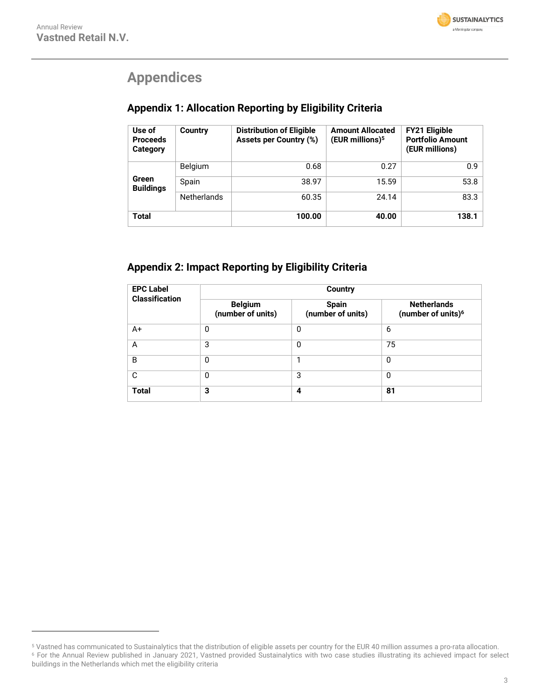

## **Appendices**

## **Appendix 1: Allocation Reporting by Eligibility Criteria**

| Use of<br><b>Proceeds</b><br>Category | <b>Country</b>     | <b>Distribution of Eligible</b><br><b>Assets per Country (%)</b> | <b>Amount Allocated</b><br>(EUR millions) <sup>5</sup> | <b>FY21 Eligible</b><br><b>Portfolio Amount</b><br>(EUR millions) |
|---------------------------------------|--------------------|------------------------------------------------------------------|--------------------------------------------------------|-------------------------------------------------------------------|
| Green<br><b>Buildings</b>             | <b>Belgium</b>     | 0.68                                                             | 0.27                                                   | 0.9                                                               |
|                                       | Spain              | 38.97                                                            | 15.59                                                  | 53.8                                                              |
|                                       | <b>Netherlands</b> | 60.35                                                            | 24.14                                                  | 83.3                                                              |
| Total                                 |                    | 100.00                                                           | 40.00                                                  | 138.1                                                             |

## **Appendix 2: Impact Reporting by Eligibility Criteria**

| <b>EPC Label</b>      | Country                             |                                   |                                                      |  |
|-----------------------|-------------------------------------|-----------------------------------|------------------------------------------------------|--|
| <b>Classification</b> | <b>Belgium</b><br>(number of units) | <b>Spain</b><br>(number of units) | <b>Netherlands</b><br>(number of units) <sup>6</sup> |  |
| A+                    | 0                                   | 0                                 | 6                                                    |  |
| A                     | 3                                   | 0                                 | 75                                                   |  |
| B                     | 0                                   | 1                                 | $\mathbf{0}$                                         |  |
| C                     | 0                                   | 3                                 | $\mathbf{0}$                                         |  |
| <b>Total</b>          | 3                                   | 4                                 | 81                                                   |  |

<sup>5</sup> Vastned has communicated to Sustainalytics that the distribution of eligible assets per country for the EUR 40 million assumes a pro-rata allocation. <sup>6</sup> For the Annual Review published in January 2021, Vastned provided Sustainalytics with two case studies illustrating its achieved impact for select buildings in the Netherlands which met the eligibility criteria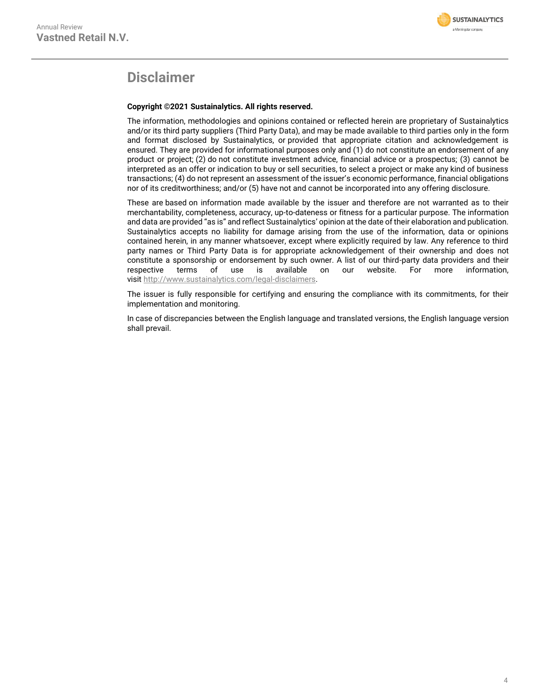

## **Disclaimer**

#### **Copyright ©2021 Sustainalytics. All rights reserved.**

The information, methodologies and opinions contained or reflected herein are proprietary of Sustainalytics and/or its third party suppliers (Third Party Data), and may be made available to third parties only in the form and format disclosed by Sustainalytics, or provided that appropriate citation and acknowledgement is ensured. They are provided for informational purposes only and (1) do not constitute an endorsement of any product or project; (2) do not constitute investment advice, financial advice or a prospectus; (3) cannot be interpreted as an offer or indication to buy or sell securities, to select a project or make any kind of business transactions; (4) do not represent an assessment of the issuer's economic performance, financial obligations nor of its creditworthiness; and/or (5) have not and cannot be incorporated into any offering disclosure.

These are based on information made available by the issuer and therefore are not warranted as to their merchantability, completeness, accuracy, up-to-dateness or fitness for a particular purpose. The information and data are provided "as is" and reflect Sustainalytics' opinion at the date of their elaboration and publication. Sustainalytics accepts no liability for damage arising from the use of the information, data or opinions contained herein, in any manner whatsoever, except where explicitly required by law. Any reference to third party names or Third Party Data is for appropriate acknowledgement of their ownership and does not constitute a sponsorship or endorsement by such owner. A list of our third-party data providers and their respective terms of use is available on our website. For more information, visit [http://www.sustainalytics.com/legal-disclaimers.](http://www.sustainalytics.com/legal-disclaimers)

The issuer is fully responsible for certifying and ensuring the compliance with its commitments, for their implementation and monitoring.

In case of discrepancies between the English language and translated versions, the English language version shall prevail.